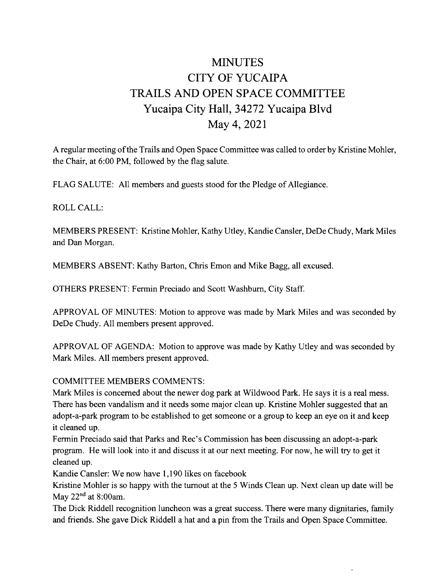# MINUTES CITY OF YUCAIPA TRAILS AND OPEN SPACE COMMITTEE Yucaipa City Hall, 34272 Yucaipa Blvd May 4, 2021

A regular meeting of the Trails and Open Space Committee was called to order by Kristine Mohler, the Chair, at 6:00 PM, followed by the flag salute.

FLAG SALUTE: All members and guests stood for the Pledge of Allegiance.

ROLL CALL:

MEMBERS PRESENT: Kristine Mohler, Kathy Utley, Kandie Cansler, DeDe Chudy, Mark Miles and Dan Morgan.

MEMBERS ABSENT: Kathy Barton, Chris Emon and Mike Bagg, all excused.

OTHERS PRESENT: Fermin Preciado and Scott Washburn, City Staff.

APPROVAL OF MINUTES: Motion to approve was made by Mark Miles and was seconded by DeDe Chudy. All members present approved.

APPROVAL OF AGENDA: Motion to approve was made by Kathy Utley and was seconded by Mark Miles. All members present approved.

### COMMITTEE MEMBERS COMMENTS:

Mark Miles is concerned about the newer dog park at Wildwood Park. He says it is <sup>a</sup> real mess. There has been vandalism and it needs some major clean up. Kristine Mohler suggested that an adopt -a -park program to be established to get someone or <sup>a</sup> group to keep an eye on it and keep it cleaned up.

Fermin Preciado said that Parks and Rec's Commission has been discussing an adopt-a-park program. He will look into it and discuss it at our next meeting. For now, he will try to get it cleaned up.

Kandie Cansler: We now have 1, 190 likes on facebook

Kristine Mohler is so happy with the turnout at the <sup>5</sup> Winds Clean up. Next clean up date will be May  $22<sup>nd</sup>$  at 8:00am.

The Dick Riddell recognition luncheon was a great success. There were many dignitaries, family and friends. She gave Dick Riddell a hat and <sup>a</sup> pin from the Trails and Open Space Committee.

.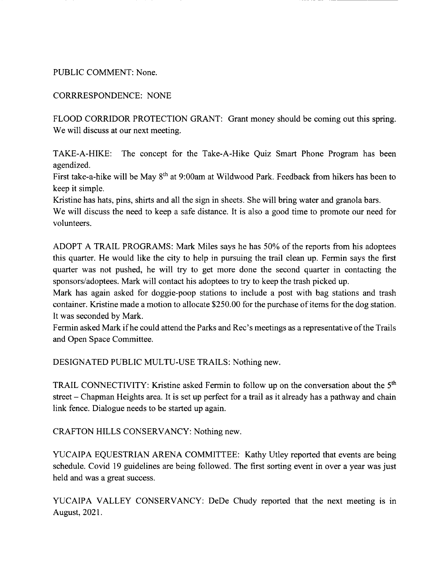#### PUBLIC COMMENT: None.

#### CORRRESPONDENCE: NONE

FLOOD CORRIDOR PROTECTION GRANT: Grant money should be coming out this spring. We will discuss at our next meeting.

TAKE-A-HIKE: The concept for the Take-A-Hike Quiz Smart Phone Program has been agendized.

First take-a-hike will be May 8<sup>th</sup> at 9:00am at Wildwood Park. Feedback from hikers has been to keep it simple.

Kristine has hats, pins, shirts and all the sign in sheets. She will bring water and granola bars.

We will discuss the need to keep <sup>a</sup> safe distance. It is also a good time to promote our need for volunteers.

ADOPT A TRAIL PROGRAMS: Mark Miles says he has 50% of the reports from his adoptees this quarter. He would like the city to help in pursuing the trail clean up. Fermin says the first quarter was not pushed, he will try to get more done the second quarter in contacting the sponsors/ adoptees. Mark will contact his adoptees to try to keep the trash picked up.

Mark has again asked for doggie -poop stations to include <sup>a</sup> post with bag stations and trash container. Kristine made <sup>a</sup> motion to allocate \$250.00 for the purchase of items for the dog station. It was seconded by Mark.

Fermin asked Mark if he could attend the Parks and Rec's meetings as a representative of the Trails and Open Space Committee.

DESIGNATED PUBLIC MULTU-USE TRAILS: Nothing new.

TRAIL CONNECTIVITY: Kristine asked Fermin to follow up on the conversation about the 5<sup>th</sup> street — Chapman Heights area. It is set up perfect for <sup>a</sup> trail as it already has <sup>a</sup> pathway and chain link fence. Dialogue needs to be started up again.

CRAFTON HILLS CONSERVANCY: Nothing new.

YUCAIPA EQUESTRIAN ARENA COMMITTEE: Kathy Utley reported that events are being schedule. Covid 19 guidelines are being followed. The first sorting event in over <sup>a</sup> year was just held and was a great success.

YUCAIPA VALLEY CONSERVANCY: DeDe Chudy reported that the next meeting is in August, 2021.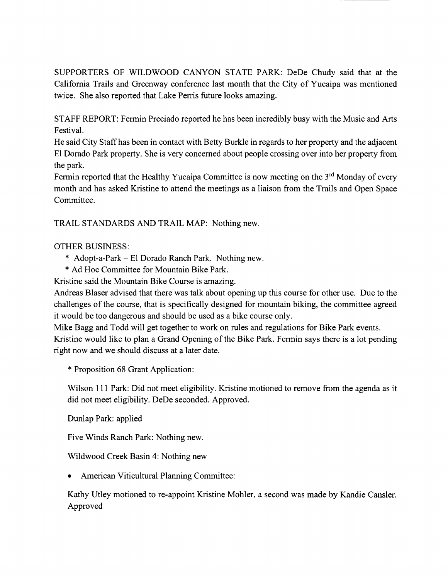SUPPORTERS OF WILDWOOD CANYON STATE PARK: DeDe Chudy said that at the California Trails and Greenway conference last month that the City of Yucaipa was mentioned twice. She also reported that Lake Perris future looks amazing.

STAFF REPORT: Fermin Preciado reported he has been incredibly busy with the Music and Arts Festival.

He said City Staff has been in contact with Betty Burkle in regards to her property and the adjacent El Dorado Park property. She is very concerned about people crossing over into her property from the park.

Fermin reported that the Healthy Yucaipa Committee is now meeting on the  $3<sup>rd</sup>$  Monday of every month and has asked Kristine to attend the meetings as a liaison from the Trails and Open Space Committee.

TRAIL STANDARDS AND TRAIL MAP: Nothing new.

## OTHER BUSINESS:

- $*$  Adopt-a-Park El Dorado Ranch Park. Nothing new.
- Ad Hoc Committee for Mountain Bike Park.

Kristine said the Mountain Bike Course is amazing.

Andreas Blaser advised that there was talk about opening up this course for other use. Due to the challenges of the course, that is specifically designed for mountain biking, the committee agreed it would be too dangerous and should be used as a bike course only.

Mike Bagg and Todd will get together to work on rules and regulations for Bike Park events. Kristine would like to plan <sup>a</sup> Grand Opening of the Bike Park. Fermin says there is <sup>a</sup> lot pending right now and we should discuss at a later date.

Proposition 68 Grant Application:

Wilson 111 Park: Did not meet eligibility. Kristine motioned to remove from the agenda as it did not meet eligibility. DeDe seconded. Approved.

Dunlap Park: applied

Five Winds Ranch Park: Nothing new.

Wildwood Creek Basin 4: Nothing new

American Viticultural Planning Committee:

Kathy Utley motioned to re -appoint Kristine Mohler, a second was made by Kandie Cansler. Approved